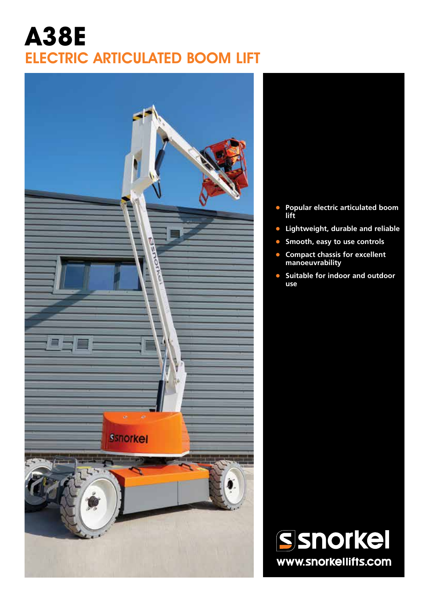## **A38E** ELECTRIC ARTICULATED BOOM LIFT



- 
- **• Popular electric articulated boom lift**
- **• Lightweight, durable and reliable**
- **• Smooth, easy to use controls**
- **• Compact chassis for excellent manoeuvrability**
- **• Suitable for indoor and outdoor use**